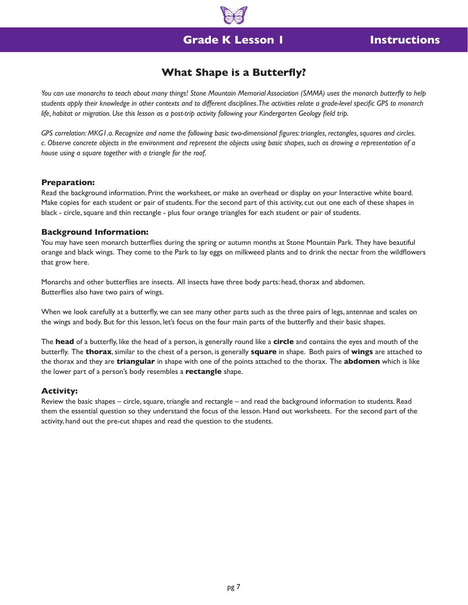# **Grade K Lesson 1**

## **Instructions**

## **What Shape is a Butterfly?**

*You can use monarchs to teach about many things! Stone Mountain Memorial Association (SMMA) uses the monarch butterfly to help students apply their knowledge in other contexts and to different disciplines. The activities relate a grade-level specific GPS to monarch life, habitat or migration. Use this lesson as a post-trip activity following your Kindergarten Geology field trip.*

*GPS correlation: MKG1.a. Recognize and name the following basic two-dimensional figures: triangles, rectangles, squares and circles. c. Observe concrete objects in the environment and represent the objects using basic shapes, such as drawing a representation of a house using a square together with a triangle for the roof.* 

### **Preparation:**

Read the background information. Print the worksheet, or make an overhead or display on your Interactive white board. Make copies for each student or pair of students. For the second part of this activity, cut out one each of these shapes in black - circle, square and thin rectangle - plus four orange triangles for each student or pair of students.

### **Background Information:**

You may have seen monarch butterflies during the spring or autumn months at Stone Mountain Park. They have beautiful orange and black wings. They come to the Park to lay eggs on milkweed plants and to drink the nectar from the wildflowers that grow here.

Monarchs and other butterflies are insects. All insects have three body parts: head, thorax and abdomen. Butterflies also have two pairs of wings.

When we look carefully at a butterfly, we can see many other parts such as the three pairs of legs, antennae and scales on the wings and body. But for this lesson, let's focus on the four main parts of the butterfly and their basic shapes.

The **head** of a butterfly, like the head of a person, is generally round like a **circle** and contains the eyes and mouth of the butterfly. The **thorax**, similar to the chest of a person, is generally **square** in shape. Both pairs of **wings** are attached to the thorax and they are **triangular** in shape with one of the points attached to the thorax. The **abdomen** which is like the lower part of a person's body resembles a **rectangle** shape.

### **Activity:**

Review the basic shapes – circle, square, triangle and rectangle – and read the background information to students. Read them the essential question so they understand the focus of the lesson. Hand out worksheets. For the second part of the activity, hand out the pre-cut shapes and read the question to the students.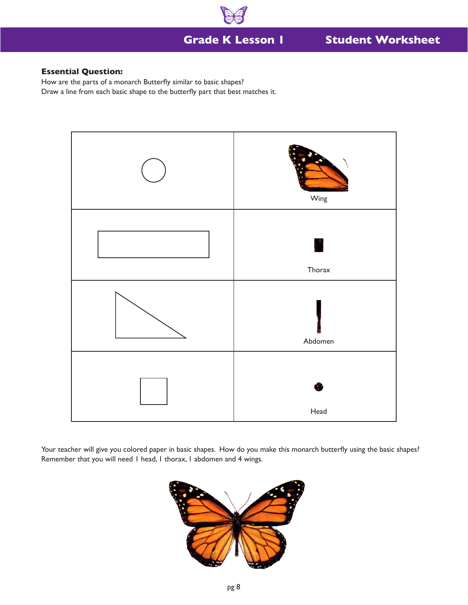

### **Essential Question:**

How are the parts of a monarch Butterfly similar to basic shapes? Draw a line from each basic shape to the butterfly part that best matches it.



Your teacher will give you colored paper in basic shapes. How do you make this monarch butterfly using the basic shapes? Remember that you will need 1 head, 1 thorax, 1 abdomen and 4 wings.